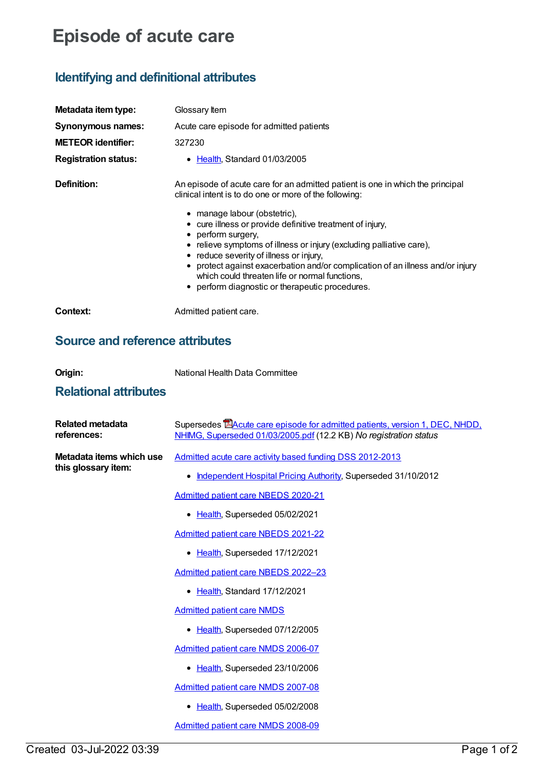## **Episode of acute care**

## **Identifying and definitional attributes**

| Metadata item type:<br>Synonymous names:<br><b>METEOR</b> identifier:<br><b>Registration status:</b> | Glossary Item<br>Acute care episode for admitted patients<br>327230<br>Health, Standard 01/03/2005<br>٠                                                                                                                                                                                                                                                                                                                                                                                                                                                               |
|------------------------------------------------------------------------------------------------------|-----------------------------------------------------------------------------------------------------------------------------------------------------------------------------------------------------------------------------------------------------------------------------------------------------------------------------------------------------------------------------------------------------------------------------------------------------------------------------------------------------------------------------------------------------------------------|
| Definition:                                                                                          | An episode of acute care for an admitted patient is one in which the principal<br>clinical intent is to do one or more of the following:<br>• manage labour (obstetric),<br>• cure illness or provide definitive treatment of injury,<br>• perform surgery,<br>• relieve symptoms of illness or injury (excluding palliative care),<br>• reduce severity of illness or injury,<br>• protect against exacerbation and/or complication of an illness and/or injury<br>which could threaten life or normal functions,<br>• perform diagnostic or therapeutic procedures. |
| Context:                                                                                             | Admitted patient care.                                                                                                                                                                                                                                                                                                                                                                                                                                                                                                                                                |

## **Source and reference attributes**

| ×<br>v |  | ī |
|--------|--|---|

**Corresponds Committee State Committee** National Health Data Committee

## **Relational attributes**

| <b>Related metadata</b><br>references:          | Supersedes <b>EAcute care episode for admitted patients, version 1, DEC, NHDD,</b><br>NHIMG, Superseded 01/03/2005.pdf (12.2 KB) No registration status |
|-------------------------------------------------|---------------------------------------------------------------------------------------------------------------------------------------------------------|
| Metadata items which use<br>this glossary item: | Admitted acute care activity based funding DSS 2012-2013                                                                                                |
|                                                 | Independent Hospital Pricing Authority, Superseded 31/10/2012<br>٠                                                                                      |
|                                                 | Admitted patient care NBEDS 2020-21                                                                                                                     |
|                                                 | • Health, Superseded 05/02/2021                                                                                                                         |
|                                                 | Admitted patient care NBEDS 2021-22                                                                                                                     |
|                                                 | Health, Superseded 17/12/2021<br>$\bullet$                                                                                                              |
|                                                 | Admitted patient care NBEDS 2022-23                                                                                                                     |
|                                                 | Health, Standard 17/12/2021<br>$\bullet$                                                                                                                |
|                                                 | <b>Admitted patient care NMDS</b>                                                                                                                       |
|                                                 | Health, Superseded 07/12/2005                                                                                                                           |
|                                                 | <b>Admitted patient care NMDS 2006-07</b>                                                                                                               |
|                                                 | Health, Superseded 23/10/2006                                                                                                                           |
|                                                 | <b>Admitted patient care NMDS 2007-08</b>                                                                                                               |
|                                                 | Health, Superseded 05/02/2008                                                                                                                           |
|                                                 | Admitted patient care NMDS 2008-09                                                                                                                      |